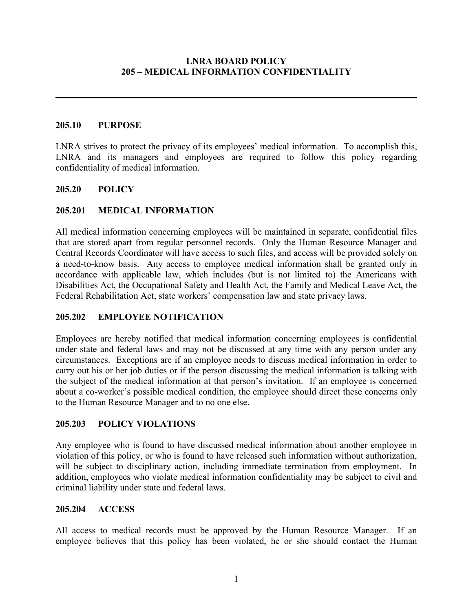## **LNRA BOARD POLICY 205 – MEDICAL INFORMATION CONFIDENTIALITY**

## **205.10 PURPOSE**

LNRA strives to protect the privacy of its employees' medical information. To accomplish this, LNRA and its managers and employees are required to follow this policy regarding confidentiality of medical information.

## **205.20 POLICY**

## **205.201 MEDICAL INFORMATION**

All medical information concerning employees will be maintained in separate, confidential files that are stored apart from regular personnel records. Only the Human Resource Manager and Central Records Coordinator will have access to such files, and access will be provided solely on a need-to-know basis. Any access to employee medical information shall be granted only in accordance with applicable law, which includes (but is not limited to) the Americans with Disabilities Act, the Occupational Safety and Health Act, the Family and Medical Leave Act, the Federal Rehabilitation Act, state workers' compensation law and state privacy laws.

## **205.202 EMPLOYEE NOTIFICATION**

Employees are hereby notified that medical information concerning employees is confidential under state and federal laws and may not be discussed at any time with any person under any circumstances. Exceptions are if an employee needs to discuss medical information in order to carry out his or her job duties or if the person discussing the medical information is talking with the subject of the medical information at that person's invitation. If an employee is concerned about a co-worker's possible medical condition, the employee should direct these concerns only to the Human Resource Manager and to no one else.

#### **205.203 POLICY VIOLATIONS**

Any employee who is found to have discussed medical information about another employee in violation of this policy, or who is found to have released such information without authorization, will be subject to disciplinary action, including immediate termination from employment. In addition, employees who violate medical information confidentiality may be subject to civil and criminal liability under state and federal laws.

#### **205.204 ACCESS**

All access to medical records must be approved by the Human Resource Manager. If an employee believes that this policy has been violated, he or she should contact the Human